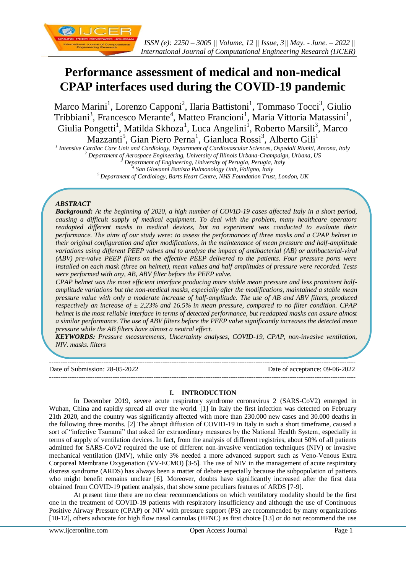

# **Performance assessment of medical and non-medical CPAP interfaces used during the COVID-19 pandemic**

Marco Marini<sup>1</sup>, Lorenzo Capponi<sup>2</sup>, Ilaria Battistoni<sup>1</sup>, Tommaso Tocci<sup>3</sup>, Giulio Tribbiani<sup>3</sup>, Francesco Merante<sup>4</sup>, Matteo Francioni<sup>1</sup>, Maria Vittoria Matassini<sup>1</sup>, Giulia Pongetti<sup>1</sup>, Matilda Skhoza<sup>1</sup>, Luca Angelini<sup>1</sup>, Roberto Marsili<sup>3</sup>, Marco Mazzanti<sup>5</sup>, Gian Piero Perna<sup>1</sup>, Gianluca Rossi<sup>3</sup>, Alberto Gili<sup>1</sup>

 *Intensive Cardiac Care Unit and Cardiology, Department of Cardiovascular Sciences, Ospedali Riuniti, Ancona, Italy Department of Aerospace Engineering, University of Illinois Urbana-Champaign, Urbana, US Department of Engineering, University of Perugia, Perugia, Italy San Giovanni Battista Pulmonology Unit, Foligno, Italy Department of Cardiology, Barts Heart Centre, NHS Foundation Trust, London, UK*

# *ABSTRACT*

*Background: At the beginning of 2020, a high number of COVID-19 cases affected Italy in a short period, causing a difficult supply of medical equipment. To deal with the problem, many healthcare operators readapted different masks to medical devices, but no experiment was conducted to evaluate their performance. The aims of our study were: to assess the performances of three masks and a CPAP helmet in their original configuration and after modifications, in the maintenance of mean pressure and half-amplitude variations using different PEEP valves and to analyse the impact of antibacterial (AB) or antibacterial-viral (ABV) pre-valve PEEP filters on the effective PEEP delivered to the patients. Four pressure ports were installed on each mask (three on helmet), mean values and half amplitudes of pressure were recorded. Tests were performed with any, AB, ABV filter before the PEEP valve.* 

*CPAP helmet was the most efficient interface producing more stable mean pressure and less prominent halfamplitude variations but the non-medical masks, especially after the modifications, maintained a stable mean pressure value with only a moderate increase of half-amplitude. The use of AB and ABV filters, produced respectively an increase of ± 2,23% and 16.5% in mean pressure, compared to no filter condition. CPAP helmet is the most reliable interface in terms of detected performance, but readapted masks can assure almost a similar performance. The use of ABV filters before the PEEP valve significantly increases the detected mean pressure while the AB filters have almost a neutral effect.* 

*KEYWORDS: Pressure measurements, Uncertainty analyses, COVID-19, CPAP, non-invasive ventilation, NIV, masks, filters*

--------------------------------------------------------------------------------------------------------------------------------------- Date of Submission: 28-05-2022 Date of acceptance: 09-06-2022 ---------------------------------------------------------------------------------------------------------------------------------------

#### **I. INTRODUCTION**

In December 2019, severe acute respiratory syndrome coronavirus 2 (SARS-CoV2) emerged in Wuhan, China and rapidly spread all over the world. [1] In Italy the first infection was detected on February 21th 2020, and the country was significantly affected with more than 230.000 new cases and 30.000 deaths in the following three months. [2] The abrupt diffusion of COVID-19 in Italy in such a short timeframe, caused a sort of "infective Tsunami" that asked for extraordinary measures by the National Health System, especially in terms of supply of ventilation devices. In fact, from the analysis of different registries, about 50% of all patients admitted for SARS-CoV2 required the use of different non-invasive ventilation techniques (NIV) or invasive mechanical ventilation (IMV), while only 3% needed a more advanced support such as Veno-Venous Extra Corporeal Membrane Oxygenation (VV-ECMO) [3-5]. The use of NIV in the management of acute respiratory distress syndrome (ARDS) has always been a matter of debate especially because the subpopulation of patients who might benefit remains unclear [6]. Moreover, doubts have significantly increased after the first data obtained from COVID-19 patient analysis, that show some peculiars features of ARDS [7-9].

At present time there are no clear recommendations on which ventilatory modality should be the first one in the treatment of COVID-19 patients with respiratory insufficiency and although the use of Continuous Positive Airway Pressure (CPAP) or NIV with pressure support (PS) are recommended by many organizations [10-12], others advocate for high flow nasal cannulas (HFNC) as first choice [13] or do not recommend the use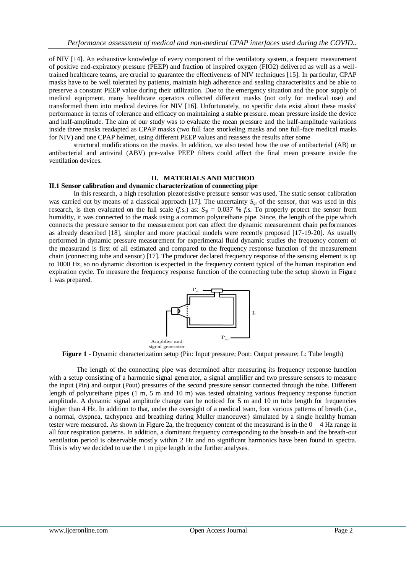of NIV [14]. An exhaustive knowledge of every component of the ventilatory system, a frequent measurement of positive end-expiratory pressure (PEEP) and fraction of inspired oxygen (FIO2) delivered as well as a welltrained healthcare teams, are crucial to guarantee the effectiveness of NIV techniques [15]. In particular, CPAP masks have to be well tolerated by patients, maintain high adherence and sealing characteristics and be able to preserve a constant PEEP value during their utilization. Due to the emergency situation and the poor supply of medical equipment, many healthcare operators collected different masks (not only for medical use) and transformed them into medical devices for NIV [16]. Unfortunately, no specific data exist about these masks' performance in terms of tolerance and efficacy on maintaining a stable pressure. mean pressure inside the device and half-amplitude. The aim of our study was to evaluate the mean pressure and the half-amplitude variations inside three masks readapted as CPAP masks (two full face snorkeling masks and one full-face medical masks for NIV) and one CPAP helmet, using different PEEP values and reassess the results after some

structural modifications on the masks. In addition, we also tested how the use of antibacterial (AB) or antibacterial and antiviral (ABV) pre-valve PEEP filters could affect the final mean pressure inside the ventilation devices.

#### **II. MATERIALS AND METHOD**

#### **II.1 Sensor calibration and dynamic characterization of connecting pipe**

In this research, a high resolution piezoresistive pressure sensor was used. The static sensor calibration was carried out by means of a classical approach [17]. The uncertainty  $S_{qi}$  of the sensor, that was used in this research, is then evaluated on the full scale  $(f.s.)$  as:  $S_{qi} = 0.037 % f.s.$  To properly protect the sensor from humidity, it was connected to the mask using a common polyurethane pipe. Since, the length of the pipe which connects the pressure sensor to the measurement port can affect the dynamic measurement chain performances as already described [18], simpler and more practical models were recently proposed [17-19-20]. As usually performed in dynamic pressure measurement for experimental fluid dynamic studies the frequency content of the measurand is first of all estimated and compared to the frequency response function of the measurement chain (connecting tube and sensor) [17]. The producer declared frequency response of the sensing element is up to 1000 Hz, so no dynamic distortion is expected in the frequency content typical of the human inspiration end expiration cycle. To measure the frequency response function of the connecting tube the setup shown in Figure 1 was prepared.



**Figure 1** - Dynamic characterization setup (Pin: Input pressure; Pout: Output pressure; L: Tube length)

The length of the connecting pipe was determined after measuring its frequency response function with a setup consisting of a harmonic signal generator, a signal amplifier and two pressure sensors to measure the input (Pin) and output (Pout) pressures of the second pressure sensor connected through the tube. Different length of polyurethane pipes (1 m, 5 m and 10 m) was tested obtaining various frequency response function amplitude. A dynamic signal amplitude change can be noticed for 5 m and 10 m tube length for frequencies higher than 4 Hz. In addition to that, under the oversight of a medical team, four various patterns of breath (i.e., a normal, dyspnea, tachypnea and breathing during Muller manoeuver) simulated by a single healthy human tester were measured. As shown in Figure 2a, the frequency content of the measurand is in the  $0 - 4$  Hz range in all four respiration patterns. In addition, a dominant frequency corresponding to the breath-in and the breath-out ventilation period is observable mostly within 2 Hz and no significant harmonics have been found in spectra. This is why we decided to use the 1 m pipe length in the further analyses.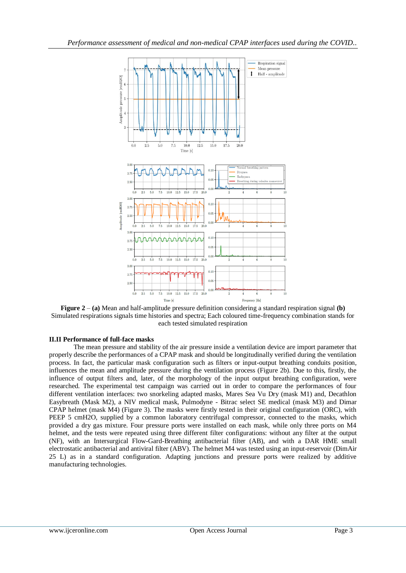

**Figure 2** – **(a)** Mean and half-amplitude pressure definition considering a standard respiration signal **(b)** Simulated respirations signals time histories and spectra; Each coloured time-frequency combination stands for each tested simulated respiration

### **II.II Performance of full-face masks**

The mean pressure and stability of the air pressure inside a ventilation device are import parameter that properly describe the performances of a CPAP mask and should be longitudinally verified during the ventilation process. In fact, the particular mask configuration such as filters or input-output breathing conduits position, influences the mean and amplitude pressure during the ventilation process (Figure 2b). Due to this, firstly, the influence of output filters and, later, of the morphology of the input output breathing configuration, were researched. The experimental test campaign was carried out in order to compare the performances of four different ventilation interfaces: two snorkeling adapted masks, Mares Sea Vu Dry (mask M1) and, Decathlon Easybreath (Mask M2), a NIV medical mask, Pulmodyne - Bitrac select SE medical (mask M3) and Dimar CPAP helmet (mask M4) (Figure 3). The masks were firstly tested in their original configuration (ORC), with PEEP 5 cmH2O, supplied by a common laboratory centrifugal compressor, connected to the masks, which provided a dry gas mixture. Four pressure ports were installed on each mask, while only three ports on M4 helmet, and the tests were repeated using three different filter configurations: without any filter at the output (NF), with an Intersurgical Flow-Gard-Breathing antibacterial filter (AB), and with a DAR HME small electrostatic antibacterial and antiviral filter (ABV). The helmet M4 was tested using an input-reservoir (DimAir 25 L) as in a standard configuration. Adapting junctions and pressure ports were realized by additive manufacturing technologies.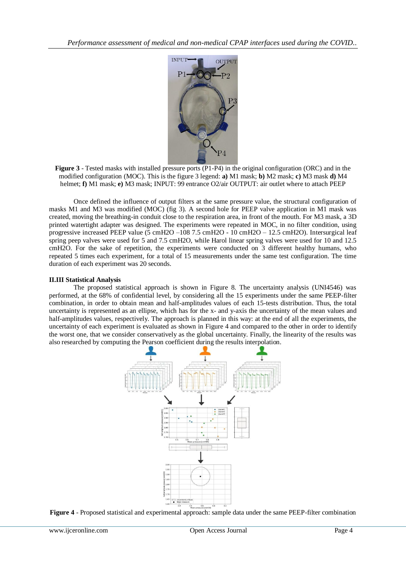

**Figure 3** - Tested masks with installed pressure ports (P1-P4) in the original configuration (ORC) and in the modified configuration (MOC). This is the figure 3 legend: **a)** M1 mask; **b)** M2 mask; **c)** M3 mask **d)** M4 helmet; **f)** M1 mask; **e)** M3 mask; INPUT: 99 entrance O2/air OUTPUT: air outlet where to attach PEEP

Once defined the influence of output filters at the same pressure value, the structural configuration of masks M1 and M3 was modified (MOC) (fig 3). A second hole for PEEP valve application in M1 mask was created, moving the breathing-in conduit close to the respiration area, in front of the mouth. For M3 mask, a 3D printed watertight adapter was designed. The experiments were repeated in MOC, in no filter condition, using progressive increased PEEP value (5 cmH2O –108 7.5 cmH2O - 10 cmH2O – 12.5 cmH2O). Intersurgical leaf spring peep valves were used for 5 and 7.5 cmH2O, while Harol linear spring valves were used for 10 and 12.5 cmH2O. For the sake of repetition, the experiments were conducted on 3 different healthy humans, who repeated 5 times each experiment, for a total of 15 measurements under the same test configuration. The time duration of each experiment was 20 seconds.

### **II.III Statistical Analysis**

The proposed statistical approach is shown in Figure 8. The uncertainty analysis (UNI4546) was performed, at the 68% of confidential level, by considering all the 15 experiments under the same PEEP-filter combination, in order to obtain mean and half-amplitudes values of each 15-tests distribution. Thus, the total uncertainty is represented as an ellipse, which has for the x- and y-axis the uncertainty of the mean values and half-amplitudes values, respectively. The approach is planned in this way: at the end of all the experiments, the uncertainty of each experiment is evaluated as shown in Figure 4 and compared to the other in order to identify the worst one, that we consider conservatively as the global uncertainty. Finally, the linearity of the results was also researched by computing the Pearson coefficient during the results interpolation.



**Figure 4** - Proposed statistical and experimental approach: sample data under the same PEEP-filter combination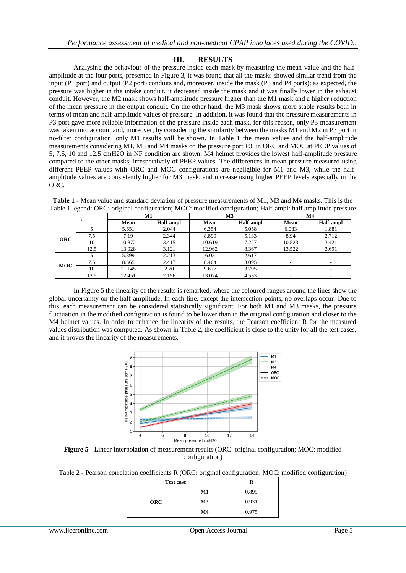## **III. RESULTS**

Analysing the behaviour of the pressure inside each mask by measuring the mean value and the halfamplitude at the four ports, presented in Figure 3, it was found that all the masks showed similar trend from the input (P1 port) and output (P2 port) conduits and, moreover, inside the mask (P3 and P4 ports): as expected, the pressure was higher in the intake conduit, it decreased inside the mask and it was finally lower in the exhaust conduit. However, the M2 mask shows half-amplitude pressure higher than the M1 mask and a higher reduction of the mean pressure in the output conduit. On the other hand, the M3 mask shows more stable results both in terms of mean and half-amplitude values of pressure. In addition, it was found that the pressure measurements in P3 port gave more reliable information of the pressure inside each mask, for this reason, only P3 measurement was taken into account and, moreover, by considering the similarity between the masks M1 and M2 in P3 port in no-filter configuration, only M1 results will be shown. In Table 1 the mean values and the half-amplitude measurements considering M1, M3 and M4 masks on the pressure port P3, in ORC and MOC at PEEP values of 5, 7.5, 10 and 12.5 cmH2O in NF condition are shown. M4 helmet provides the lowest half-amplitude pressure compared to the other masks, irrespectively of PEEP values. The differences in mean pressure measured using different PEEP values with ORC and MOC configurations are negligible for M1 and M3, while the halfamplitude values are consistently higher for M3 mask, and increase using higher PEEP levels especially in the ORC.

|  | <b>Table 1</b> - Mean value and standard deviation of pressure measurements of M1, M3 and M4 masks. This is the |  |  |
|--|-----------------------------------------------------------------------------------------------------------------|--|--|
|  | Table 1 legend: ORC: original configuration; MOC: modified configuration; Half-ampl: half amplitude pressure    |  |  |

|            |      | M1     |           | M <sub>3</sub> |           | M <sub>4</sub>           |                          |
|------------|------|--------|-----------|----------------|-----------|--------------------------|--------------------------|
|            |      | Mean   | Half-ampl | Mean           | Half-ampl | Mean                     | <b>Half-ampl</b>         |
|            |      | 5.651  | 2.044     | 6.354          | 5.058     | 6.083                    | 1.881                    |
| <b>ORC</b> | 7.5  | 7.19   | 2.344     | 8.899          | 5.133     | 8.94                     | 2.712                    |
|            | 10   | 10.872 | 3.415     | 10.619         | 7.227     | 10.823                   | 3.421                    |
|            | 12.5 | 13.028 | 3.121     | 12.962         | 8.367     | 13.522                   | 3.691                    |
|            |      | 5.399  | 2.213     | 6.03           | 2.617     | $\overline{\phantom{0}}$ | $\overline{\phantom{a}}$ |
| <b>MOC</b> | 7.5  | 8.565  | 2.417     | 8.464          | 3.095     | $\overline{\phantom{0}}$ |                          |
|            | 10   | 11.145 | 2.70      | 9.677          | 3.795     | ۰.                       |                          |
|            | 12.5 | 12.451 | 2.196     | 13.074         | 4.533     | ۰.                       |                          |

In Figure 5 the linearity of the results is remarked, where the coloured ranges around the lines show the global uncertainty on the half-amplitude. In each line, except the intersection points, no overlaps occur. Due to this, each measurement can be considered statistically significant. For both M1 and M3 masks, the pressure fluctuation in the modified configuration is found to be lower than in the original configuration and closer to the M4 helmet values. In order to enhance the linearity of the results, the Pearson coefficient R for the measured values distribution was computed. As shown in Table 2, the coefficient is close to the unity for all the test cases, and it proves the linearity of the measurements.



**Figure 5** - Linear interpolation of measurement results (ORC: original configuration; MOC: modified configuration)

| Table 2 - Pearson correlation coefficients R (ORC: original configuration; MOC: modified configuration) |  |  |
|---------------------------------------------------------------------------------------------------------|--|--|
|---------------------------------------------------------------------------------------------------------|--|--|

| <b>Test case</b> |                |       |  |  |
|------------------|----------------|-------|--|--|
|                  | M1             | 0.899 |  |  |
| <b>ORC</b>       | M <sub>3</sub> | 0.931 |  |  |
|                  | M <sub>4</sub> | 0.975 |  |  |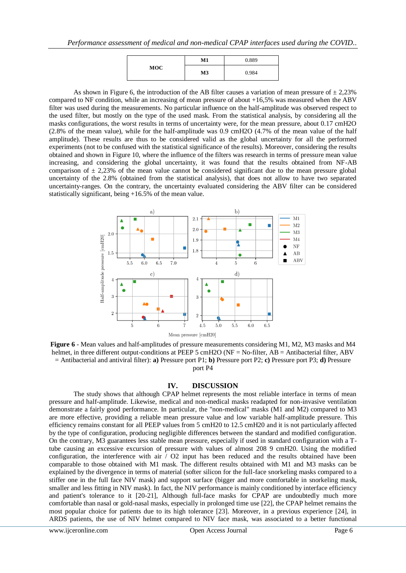|            | M1 | 0.889 |
|------------|----|-------|
| <b>MOC</b> | M3 | 0.984 |

As shown in Figure 6, the introduction of the AB filter causes a variation of mean pressure of  $\pm 2.23\%$ compared to NF condition, while an increasing of mean pressure of about +16,5% was measured when the ABV filter was used during the measurements. No particular influence on the half-amplitude was observed respect to the used filter, but mostly on the type of the used mask. From the statistical analysis, by considering all the masks configurations, the worst results in terms of uncertainty were, for the mean pressure, about 0.17 cmH2O (2.8% of the mean value), while for the half-amplitude was 0.9 cmH2O (4.7% of the mean value of the half amplitude). These results are thus to be considered valid as the global uncertainty for all the performed experiments (not to be confused with the statistical significance of the results). Moreover, considering the results obtained and shown in Figure 10, where the influence of the filters was research in terms of pressure mean value increasing, and considering the global uncertainty, it was found that the results obtained from NF-AB comparison of  $\pm$  2,23% of the mean value cannot be considered significant due to the mean pressure global uncertainty of the 2.8% (obtained from the statistical analysis), that does not allow to have two separated uncertainty-ranges. On the contrary, the uncertainty evaluated considering the ABV filter can be considered statistically significant, being +16.5% of the mean value.



**Figure 6** - Mean values and half-amplitudes of pressure measurements considering M1, M2, M3 masks and M4 helmet, in three different output-conditions at PEEP 5 cmH2O (NF = No-filter, AB = Antibacterial filter, ABV = Antibacterial and antiviral filter): **a)** Pressure port P1; **b)** Pressure port P2; **c)** Pressure port P3; **d)** Pressure port P4

#### **IV. DISCUSSION**

The study shows that although CPAP helmet represents the most reliable interface in terms of mean pressure and half-amplitude. Likewise, medical and non-medical masks readapted for non-invasive ventilation demonstrate a fairly good performance. In particular, the "non-medical" masks (M1 and M2) compared to M3 are more effective, providing a reliable mean pressure value and low variable half-amplitude pressure. This efficiency remains constant for all PEEP values from 5 cmH20 to 12.5 cmH20 and it is not particularly affected by the type of configuration, producing negligible differences between the standard and modified configuration. On the contrary, M3 guarantees less stable mean pressure, especially if used in standard configuration with a Ttube causing an excessive excursion of pressure with values of almost 208 9 cmH20. Using the modified configuration, the interference with air  $\sqrt{O2}$  input has been reduced and the results obtained have been comparable to those obtained with M1 mask. The different results obtained with M1 and M3 masks can be explained by the divergence in terms of material (softer silicon for the full-face snorkeling masks compared to a stiffer one in the full face NIV mask) and support surface (bigger and more comfortable in snorkeling mask, smaller and less fitting in NIV mask). In fact, the NIV performance is mainly conditioned by interface efficiency and patient's tolerance to it [20-21], Although full-face masks for CPAP are undoubtedly much more comfortable than nasal or gold-nasal masks, especially in prolonged time use [22], the CPAP helmet remains the most popular choice for patients due to its high tolerance [23]. Moreover, in a previous experience [24], in ARDS patients, the use of NIV helmet compared to NIV face mask, was associated to a better functional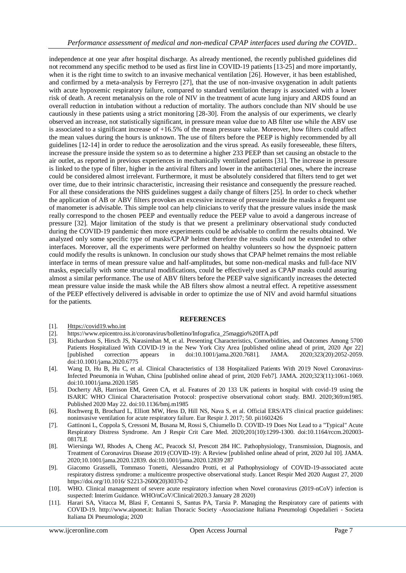independence at one year after hospital discharge. As already mentioned, the recently published guidelines did not recommend any specific method to be used as first line in COVID-19 patients [13-25] and more importantly, when it is the right time to switch to an invasive mechanical ventilation [26]. However, it has been established, and confirmed by a meta-analysis by Ferreyro [27], that the use of non-invasive oxygenation in adult patients with acute hypoxemic respiratory failure, compared to standard ventilation therapy is associated with a lower risk of death. A recent metanalysis on the role of NIV in the treatment of acute lung injury and ARDS found an overall reduction in intubation without a reduction of mortality. The authors conclude than NIV should be use cautiously in these patients using a strict monitoring [28-30]. From the analysis of our experiments, we clearly observed an increase, not statistically significant, in pressure mean value due to AB filter use while the ABV use is associated to a significant increase of  $+16.5\%$  of the mean pressure value. Moreover, how filters could affect the mean values during the hours is unknown. The use of filters before the PEEP is highly recommended by all guidelines [12-14] in order to reduce the aerosolization and the virus spread. As easily foreseeable, these filters, increase the pressure inside the system so as to determine a higher 233 PEEP than set causing an obstacle to the air outlet, as reported in previous experiences in mechanically ventilated patients [31]. The increase in pressure is linked to the type of filter, higher in the antiviral filters and lower in the antibacterial ones, where the increase could be considered almost irrelevant. Furthermore, it must be absolutely considered that filters tend to get wet over time, due to their intrinsic characteristic, increasing their resistance and consequently the pressure reached. For all these considerations the NHS guidelines suggest a daily change of filters [25]. In order to check whether the application of AB or ABV filters provokes an excessive increase of pressure inside the masks a frequent use of manometer is advisable. This simple tool can help clinicians to verify that the pressure values inside the mask really correspond to the chosen PEEP and eventually reduce the PEEP value to avoid a dangerous increase of pressure [32]. Major limitation of the study is that we present a preliminary observational study conducted during the COVID-19 pandemic then more experiments could be advisable to confirm the results obtained. We analyzed only some specific type of masks/CPAP helmet therefore the results could not be extended to other interfaces. Moreover, all the experiments were performed on healthy volunteers so how the dyspnoeic pattern could modify the results is unknown. In conclusion our study shows that CPAP helmet remains the most reliable interface in terms of mean pressure value and half-amplitudes, but some non-medical masks and full-face NIV masks, especially with some structural modifications, could be effectively used as CPAP masks could assuring almost a similar performance. The use of ABV filters before the PEEP valve significantly increases the detected mean pressure value inside the mask while the AB filters show almost a neutral effect. A repetitive assessment of the PEEP effectively delivered is advisable in order to optimize the use of NIV and avoid harmful situations for the patients.

#### **REFERENCES**

- [1]. [Https://covid19.who.int](https://covid19.who.int/)
- [2]. https://www.epicentro.iss.it/coronavirus/bollettino/Infografica\_25maggio%20ITA.pdf
- [3]. Richardson S, Hirsch JS, Narasimhan M, et al. Presenting Characteristics, Comorbidities, and Outcomes Among 5700 Patients Hospitalized With COVID-19 in the New York City Area [published online ahead of print, 2020 Apr 22] [published correction appears in doi:10.1001/jama.2020.7681]. JAMA. 2020;323(20):2052-2059. doi:10.1001/jama.2020.6775
- [4]. Wang D, Hu B, Hu C, et al. Clinical Characteristics of 138 Hospitalized Patients With 2019 Novel Coronavirus-Infected Pneumonia in Wuhan, China [published online ahead of print, 2020 Feb7]. JAMA. 2020;323(11):1061-1069. doi:10.1001/jama.2020.1585
- [5]. Docherty AB, Harrison EM, Green CA, et al. Features of 20 133 UK patients in hospital with covid-19 using the ISARIC WHO Clinical Characterisation Protocol: prospective observational cohort study. BMJ. 2020;369:m1985. Published 2020 May 22. doi:10.1136/bmj.m1985
- [6]. Rochwerg B, Brochard L, Elliott MW, Hess D, Hill NS, Nava S, et al. Official ERS/ATS clinical practice guidelines: noninvasive ventilation for acute respiratory failure. Eur Respir J. 2017; 50. pii1602426
- [7]. Gattinoni L, Coppola S, Cressoni M, Busana M, Rossi S, Chiumello D. COVID-19 Does Not Lead to a "Typical" Acute Respiratory Distress Syndrome. Am J Respir Crit Care Med. 2020;201(10):1299-1300. doi:10.1164/rccm.202003- 0817LE
- [8]. Wiersinga WJ, Rhodes A, Cheng AC, Peacock SJ, Prescott 284 HC. Pathophysiology, Transmission, Diagnosis, and Treatment of Coronavirus Disease 2019 (COVID-19): A Review [published online ahead of print, 2020 Jul 10]. JAMA. 2020;10.1001/jama.2020.12839. doi:10.1001/jama.2020.12839 287
- [9]. Giacomo Grasselli, Tommaso Tonetti, Alessandro Protti, et al Pathophysiology of COVID-19-associated acute respiratory distress syndrome: a multicentre prospective observational study. Lancet Respir Med 2020 August 27, 2020 https://doi.org/10.1016/ S2213-2600(20)30370-2
- [10]. WHO. Clinical management of severe acute respiratory infection when Novel coronavirus (2019-nCoV) infection is suspected: Interim Guidance. WHO/nCoV/Clinical/2020.3 January 28 2020)
- [11]. Harari SA, Vitacca M, Blasi F, Centanni S, Santus PA, Tarsia P. Managing the Respiratory care of patients with COVID-19. http://www.aiponet.it: Italian Thoracic Society -Associazione Italiana Pneumologi Ospedalieri - Societa Italiana Di Pneumologia; 2020